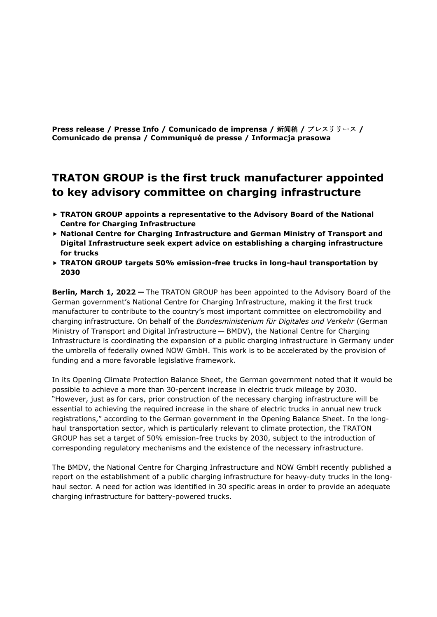**Press release / Presse Info / Comunicado de imprensa /** 新闻稿 **/** プレスリリース **/ Comunicado de prensa / Communiqué de presse / Informacja prasowa**

## **TRATON GROUP is the first truck manufacturer appointed to key advisory committee on charging infrastructure**

- **TRATON GROUP appoints a representative to the Advisory Board of the National Centre for Charging Infrastructure**
- **National Centre for Charging Infrastructure and German Ministry of Transport and Digital Infrastructure seek expert advice on establishing a charging infrastructure for trucks**
- **TRATON GROUP targets 50% emission-free trucks in long-haul transportation by 2030**

**Berlin, March 1, 2022 —** The TRATON GROUP has been appointed to the Advisory Board of the German government's National Centre for Charging Infrastructure, making it the first truck manufacturer to contribute to the country's most important committee on electromobility and charging infrastructure. On behalf of the *Bundesministerium für Digitales und Verkehr* (German Ministry of Transport and Digital Infrastructure — BMDV), the National Centre for Charging Infrastructure is coordinating the expansion of a public charging infrastructure in Germany under the umbrella of federally owned NOW GmbH. This work is to be accelerated by the provision of funding and a more favorable legislative framework.

In its Opening Climate Protection Balance Sheet, the German government noted that it would be possible to achieve a more than 30-percent increase in electric truck mileage by 2030. "However, just as for cars, prior construction of the necessary charging infrastructure will be essential to achieving the required increase in the share of electric trucks in annual new truck registrations," according to the German government in the Opening Balance Sheet. In the longhaul transportation sector, which is particularly relevant to climate protection, the TRATON GROUP has set a target of 50% emission-free trucks by 2030, subject to the introduction of corresponding regulatory mechanisms and the existence of the necessary infrastructure.

The BMDV, the National Centre for Charging Infrastructure and NOW GmbH recently published a report on the establishment of a public charging infrastructure for heavy-duty trucks in the longhaul sector. A need for action was identified in 30 specific areas in order to provide an adequate charging infrastructure for battery-powered trucks.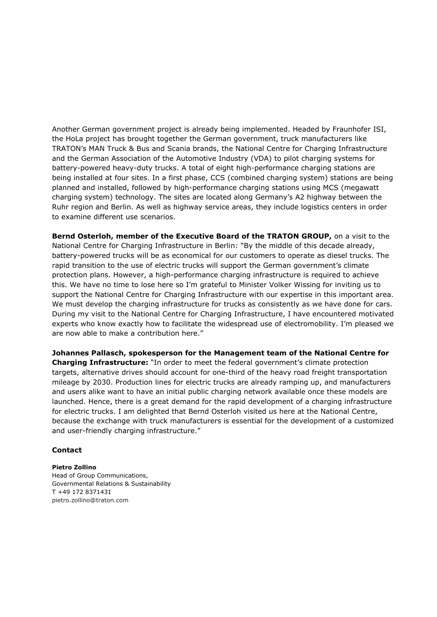Another German government project is already being implemented. Headed by Fraunhofer ISI, the HoLa project has brought together the German government, truck manufacturers like TRATON's MAN Truck & Bus and Scania brands, the National Centre for Charging Infrastructure and the German Association of the Automotive Industry (VDA) to pilot charging systems for battery-powered heavy-duty trucks. A total of eight high-performance charging stations are being installed at four sites. In a first phase, CCS (combined charging system) stations are being planned and installed, followed by high-performance charging stations using MCS (megawatt charging system) technology. The sites are located along Germany's A2 highway between the Ruhr region and Berlin. As well as highway service areas, they include logistics centers in order to examine different use scenarios.

**Bernd Osterloh, member of the Executive Board of the TRATON GROUP,** on a visit to the National Centre for Charging Infrastructure in Berlin: "By the middle of this decade already, battery-powered trucks will be as economical for our customers to operate as diesel trucks. The rapid transition to the use of electric trucks will support the German government's climate protection plans. However, a high-performance charging infrastructure is required to achieve this. We have no time to lose here so I'm grateful to Minister Volker Wissing for inviting us to support the National Centre for Charging Infrastructure with our expertise in this important area. We must develop the charging infrastructure for trucks as consistently as we have done for cars. During my visit to the National Centre for Charging Infrastructure, I have encountered motivated experts who know exactly how to facilitate the widespread use of electromobility. I'm pleased we are now able to make a contribution here."

**Johannes Pallasch, spokesperson for the Management team of the National Centre for Charging Infrastructure:** "In order to meet the federal government's climate protection targets, alternative drives should account for one-third of the heavy road freight transportation mileage by 2030. Production lines for electric trucks are already ramping up, and manufacturers and users alike want to have an initial public charging network available once these models are launched. Hence, there is a great demand for the rapid development of a charging infrastructure for electric trucks. I am delighted that Bernd Osterloh visited us here at the National Centre, because the exchange with truck manufacturers is essential for the development of a customized and user-friendly charging infrastructure."

## **Contact**

## **Pietro Zollino**

Head of Group Communications, Governmental Relations & Sustainability T +49 172 8371431 [pietro.zollino@traton.com](mailto:pietro.zollino@traton.com)